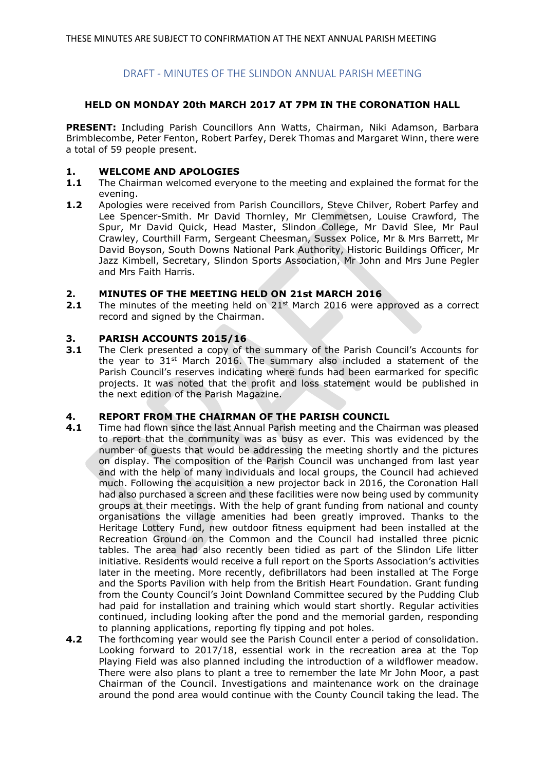# DRAFT - MINUTES OF THE SLINDON ANNUAL PARISH MEETING

# **HELD ON MONDAY 20th MARCH 2017 AT 7PM IN THE CORONATION HALL**

**PRESENT:** Including Parish Councillors Ann Watts, Chairman, Niki Adamson, Barbara Brimblecombe, Peter Fenton, Robert Parfey, Derek Thomas and Margaret Winn, there were a total of 59 people present.

# **1. WELCOME AND APOLOGIES**

- **1.1** The Chairman welcomed everyone to the meeting and explained the format for the evening.
- **1.2** Apologies were received from Parish Councillors, Steve Chilver, Robert Parfey and Lee Spencer-Smith. Mr David Thornley, Mr Clemmetsen, Louise Crawford, The Spur, Mr David Quick, Head Master, Slindon College, Mr David Slee, Mr Paul Crawley, Courthill Farm, Sergeant Cheesman, Sussex Police, Mr & Mrs Barrett, Mr David Boyson, South Downs National Park Authority, Historic Buildings Officer, Mr Jazz Kimbell, Secretary, Slindon Sports Association, Mr John and Mrs June Pegler and Mrs Faith Harris.

# **2. MINUTES OF THE MEETING HELD ON 21st MARCH 2016**

**2.1** The minutes of the meeting held on 21<sup>st</sup> March 2016 were approved as a correct record and signed by the Chairman.

# **3. PARISH ACCOUNTS 2015/16**

**3.1** The Clerk presented a copy of the summary of the Parish Council's Accounts for the year to  $31^{st}$  March 2016. The summary also included a statement of the Parish Council's reserves indicating where funds had been earmarked for specific projects. It was noted that the profit and loss statement would be published in the next edition of the Parish Magazine.

# **4. REPORT FROM THE CHAIRMAN OF THE PARISH COUNCIL**

- **4.1** Time had flown since the last Annual Parish meeting and the Chairman was pleased to report that the community was as busy as ever. This was evidenced by the number of guests that would be addressing the meeting shortly and the pictures on display. The composition of the Parish Council was unchanged from last year and with the help of many individuals and local groups, the Council had achieved much. Following the acquisition a new projector back in 2016, the Coronation Hall had also purchased a screen and these facilities were now being used by community groups at their meetings. With the help of grant funding from national and county organisations the village amenities had been greatly improved. Thanks to the Heritage Lottery Fund, new outdoor fitness equipment had been installed at the Recreation Ground on the Common and the Council had installed three picnic tables. The area had also recently been tidied as part of the Slindon Life litter initiative. Residents would receive a full report on the Sports Association's activities later in the meeting. More recently, defibrillators had been installed at The Forge and the Sports Pavilion with help from the British Heart Foundation. Grant funding from the County Council's Joint Downland Committee secured by the Pudding Club had paid for installation and training which would start shortly. Regular activities continued, including looking after the pond and the memorial garden, responding to planning applications, reporting fly tipping and pot holes.
- **4.2** The forthcoming year would see the Parish Council enter a period of consolidation. Looking forward to 2017/18, essential work in the recreation area at the Top Playing Field was also planned including the introduction of a wildflower meadow. There were also plans to plant a tree to remember the late Mr John Moor, a past Chairman of the Council. Investigations and maintenance work on the drainage around the pond area would continue with the County Council taking the lead. The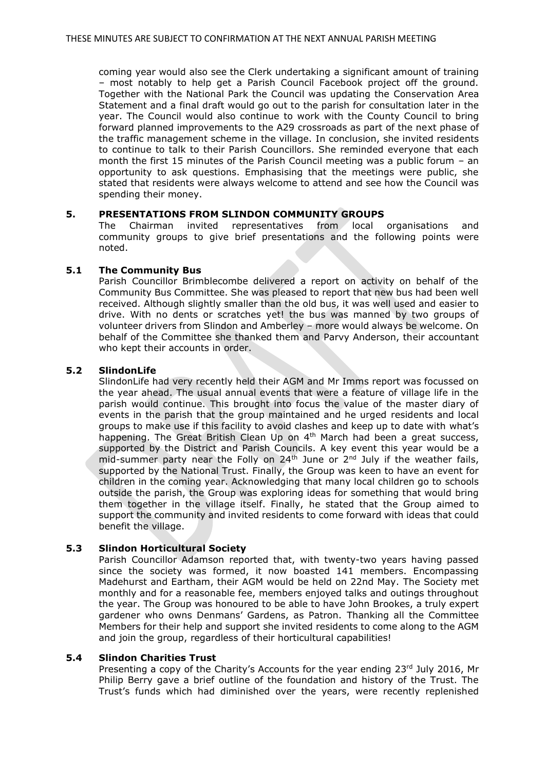coming year would also see the Clerk undertaking a significant amount of training – most notably to help get a Parish Council Facebook project off the ground. Together with the National Park the Council was updating the Conservation Area Statement and a final draft would go out to the parish for consultation later in the year. The Council would also continue to work with the County Council to bring forward planned improvements to the A29 crossroads as part of the next phase of the traffic management scheme in the village. In conclusion, she invited residents to continue to talk to their Parish Councillors. She reminded everyone that each month the first 15 minutes of the Parish Council meeting was a public forum – an opportunity to ask questions. Emphasising that the meetings were public, she stated that residents were always welcome to attend and see how the Council was spending their money.

# **5. PRESENTATIONS FROM SLINDON COMMUNITY GROUPS**

The Chairman invited representatives from local organisations and community groups to give brief presentations and the following points were noted.

# **5.1 The Community Bus**

Parish Councillor Brimblecombe delivered a report on activity on behalf of the Community Bus Committee. She was pleased to report that new bus had been well received. Although slightly smaller than the old bus, it was well used and easier to drive. With no dents or scratches yet! the bus was manned by two groups of volunteer drivers from Slindon and Amberley – more would always be welcome. On behalf of the Committee she thanked them and Parvy Anderson, their accountant who kept their accounts in order.

# **5.2 SlindonLife**

SlindonLife had very recently held their AGM and Mr Imms report was focussed on the year ahead. The usual annual events that were a feature of village life in the parish would continue. This brought into focus the value of the master diary of events in the parish that the group maintained and he urged residents and local groups to make use if this facility to avoid clashes and keep up to date with what's happening. The Great British Clean Up on 4<sup>th</sup> March had been a great success, supported by the District and Parish Councils. A key event this year would be a mid-summer party near the Folly on  $24<sup>th</sup>$  June or  $2<sup>nd</sup>$  July if the weather fails, supported by the National Trust. Finally, the Group was keen to have an event for children in the coming year. Acknowledging that many local children go to schools outside the parish, the Group was exploring ideas for something that would bring them together in the village itself. Finally, he stated that the Group aimed to support the community and invited residents to come forward with ideas that could benefit the village.

# **5.3 Slindon Horticultural Society**

Parish Councillor Adamson reported that, with twenty-two years having passed since the society was formed, it now boasted 141 members. Encompassing Madehurst and Eartham, their AGM would be held on 22nd May. The Society met monthly and for a reasonable fee, members enjoyed talks and outings throughout the year. The Group was honoured to be able to have John Brookes, a truly expert gardener who owns Denmans' Gardens, as Patron. Thanking all the Committee Members for their help and support she invited residents to come along to the AGM and join the group, regardless of their horticultural capabilities!

# **5.4 Slindon Charities Trust**

Presenting a copy of the Charity's Accounts for the year ending  $23<sup>rd</sup>$  July 2016, Mr Philip Berry gave a brief outline of the foundation and history of the Trust. The Trust's funds which had diminished over the years, were recently replenished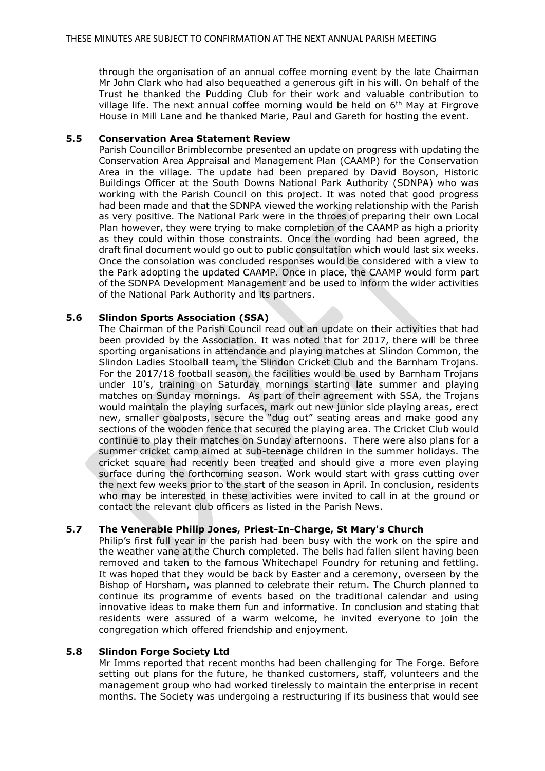through the organisation of an annual coffee morning event by the late Chairman Mr John Clark who had also bequeathed a generous gift in his will. On behalf of the Trust he thanked the Pudding Club for their work and valuable contribution to village life. The next annual coffee morning would be held on 6th May at Firgrove House in Mill Lane and he thanked Marie, Paul and Gareth for hosting the event.

# **5.5 Conservation Area Statement Review**

Parish Councillor Brimblecombe presented an update on progress with updating the Conservation Area Appraisal and Management Plan (CAAMP) for the Conservation Area in the village. The update had been prepared by David Boyson, Historic Buildings Officer at the South Downs National Park Authority (SDNPA) who was working with the Parish Council on this project. It was noted that good progress had been made and that the SDNPA viewed the working relationship with the Parish as very positive. The National Park were in the throes of preparing their own Local Plan however, they were trying to make completion of the CAAMP as high a priority as they could within those constraints. Once the wording had been agreed, the draft final document would go out to public consultation which would last six weeks. Once the consolation was concluded responses would be considered with a view to the Park adopting the updated CAAMP. Once in place, the CAAMP would form part of the SDNPA Development Management and be used to inform the wider activities of the National Park Authority and its partners.

#### **5.6 Slindon Sports Association (SSA)**

The Chairman of the Parish Council read out an update on their activities that had been provided by the Association. It was noted that for 2017, there will be three sporting organisations in attendance and playing matches at Slindon Common, the Slindon Ladies Stoolball team, the Slindon Cricket Club and the Barnham Trojans. For the 2017/18 football season, the facilities would be used by Barnham Trojans under 10's, training on Saturday mornings starting late summer and playing matches on Sunday mornings. As part of their agreement with SSA, the Trojans would maintain the playing surfaces, mark out new junior side playing areas, erect new, smaller goalposts, secure the "dug out" seating areas and make good any sections of the wooden fence that secured the playing area. The Cricket Club would continue to play their matches on Sunday afternoons. There were also plans for a summer cricket camp aimed at sub-teenage children in the summer holidays. The cricket square had recently been treated and should give a more even playing surface during the forthcoming season. Work would start with grass cutting over the next few weeks prior to the start of the season in April. In conclusion, residents who may be interested in these activities were invited to call in at the ground or contact the relevant club officers as listed in the Parish News.

# **5.7 The Venerable Philip Jones, Priest-In-Charge, St Mary's Church**

Philip's first full year in the parish had been busy with the work on the spire and the weather vane at the Church completed. The bells had fallen silent having been removed and taken to the famous Whitechapel Foundry for retuning and fettling. It was hoped that they would be back by Easter and a ceremony, overseen by the Bishop of Horsham, was planned to celebrate their return. The Church planned to continue its programme of events based on the traditional calendar and using innovative ideas to make them fun and informative. In conclusion and stating that residents were assured of a warm welcome, he invited everyone to join the congregation which offered friendship and enjoyment.

# **5.8 Slindon Forge Society Ltd**

Mr Imms reported that recent months had been challenging for The Forge. Before setting out plans for the future, he thanked customers, staff, volunteers and the management group who had worked tirelessly to maintain the enterprise in recent months. The Society was undergoing a restructuring if its business that would see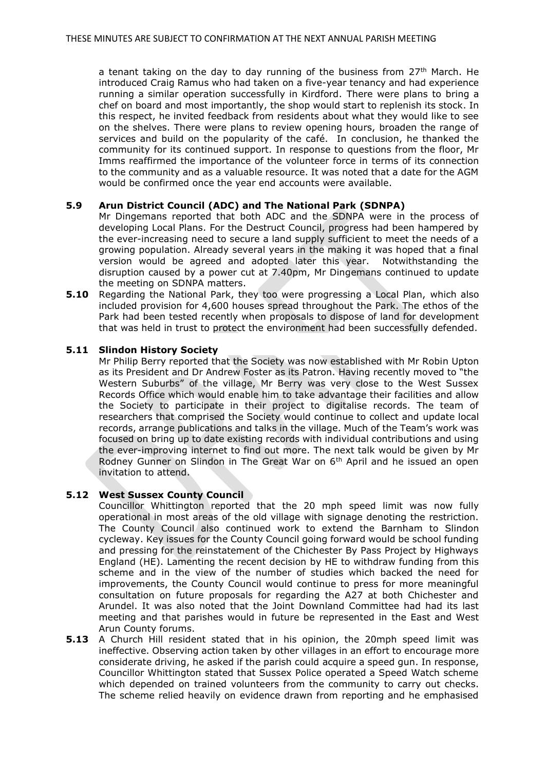a tenant taking on the day to day running of the business from  $27<sup>th</sup>$  March. He introduced Craig Ramus who had taken on a five-year tenancy and had experience running a similar operation successfully in Kirdford. There were plans to bring a chef on board and most importantly, the shop would start to replenish its stock. In this respect, he invited feedback from residents about what they would like to see on the shelves. There were plans to review opening hours, broaden the range of services and build on the popularity of the café. In conclusion, he thanked the community for its continued support. In response to questions from the floor, Mr Imms reaffirmed the importance of the volunteer force in terms of its connection to the community and as a valuable resource. It was noted that a date for the AGM would be confirmed once the year end accounts were available.

# **5.9 Arun District Council (ADC) and The National Park (SDNPA)**

Mr Dingemans reported that both ADC and the SDNPA were in the process of developing Local Plans. For the Destruct Council, progress had been hampered by the ever-increasing need to secure a land supply sufficient to meet the needs of a growing population. Already several years in the making it was hoped that a final version would be agreed and adopted later this year. Notwithstanding the disruption caused by a power cut at 7.40pm, Mr Dingemans continued to update the meeting on SDNPA matters.

**5.10** Regarding the National Park, they too were progressing a Local Plan, which also included provision for 4,600 houses spread throughout the Park. The ethos of the Park had been tested recently when proposals to dispose of land for development that was held in trust to protect the environment had been successfully defended.

# **5.11 Slindon History Society**

Mr Philip Berry reported that the Society was now established with Mr Robin Upton as its President and Dr Andrew Foster as its Patron. Having recently moved to "the Western Suburbs" of the village, Mr Berry was very close to the West Sussex Records Office which would enable him to take advantage their facilities and allow the Society to participate in their project to digitalise records. The team of researchers that comprised the Society would continue to collect and update local records, arrange publications and talks in the village. Much of the Team's work was focused on bring up to date existing records with individual contributions and using the ever-improving internet to find out more. The next talk would be given by Mr Rodney Gunner on Slindon in The Great War on 6th April and he issued an open invitation to attend.

# **5.12 West Sussex County Council**

Councillor Whittington reported that the 20 mph speed limit was now fully operational in most areas of the old village with signage denoting the restriction. The County Council also continued work to extend the Barnham to Slindon cycleway. Key issues for the County Council going forward would be school funding and pressing for the reinstatement of the Chichester By Pass Project by Highways England (HE). Lamenting the recent decision by HE to withdraw funding from this scheme and in the view of the number of studies which backed the need for improvements, the County Council would continue to press for more meaningful consultation on future proposals for regarding the A27 at both Chichester and Arundel. It was also noted that the Joint Downland Committee had had its last meeting and that parishes would in future be represented in the East and West Arun County forums.

**5.13** A Church Hill resident stated that in his opinion, the 20mph speed limit was ineffective. Observing action taken by other villages in an effort to encourage more considerate driving, he asked if the parish could acquire a speed gun. In response, Councillor Whittington stated that Sussex Police operated a Speed Watch scheme which depended on trained volunteers from the community to carry out checks. The scheme relied heavily on evidence drawn from reporting and he emphasised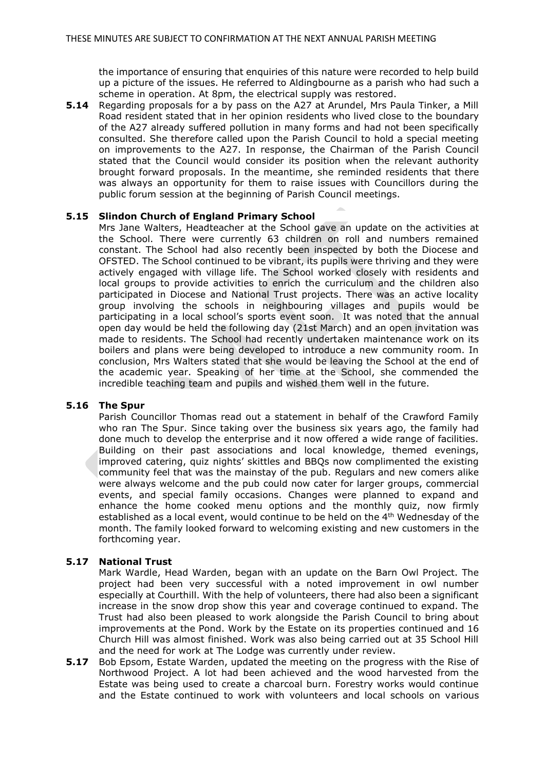the importance of ensuring that enquiries of this nature were recorded to help build up a picture of the issues. He referred to Aldingbourne as a parish who had such a scheme in operation. At 8pm, the electrical supply was restored.

**5.14** Regarding proposals for a by pass on the A27 at Arundel, Mrs Paula Tinker, a Mill Road resident stated that in her opinion residents who lived close to the boundary of the A27 already suffered pollution in many forms and had not been specifically consulted. She therefore called upon the Parish Council to hold a special meeting on improvements to the A27. In response, the Chairman of the Parish Council stated that the Council would consider its position when the relevant authority brought forward proposals. In the meantime, she reminded residents that there was always an opportunity for them to raise issues with Councillors during the public forum session at the beginning of Parish Council meetings.

# **5.15 Slindon Church of England Primary School**

Mrs Jane Walters, Headteacher at the School gave an update on the activities at the School. There were currently 63 children on roll and numbers remained constant. The School had also recently been inspected by both the Diocese and OFSTED. The School continued to be vibrant, its pupils were thriving and they were actively engaged with village life. The School worked closely with residents and local groups to provide activities to enrich the curriculum and the children also participated in Diocese and National Trust projects. There was an active locality group involving the schools in neighbouring villages and pupils would be participating in a local school's sports event soon. It was noted that the annual open day would be held the following day (21st March) and an open invitation was made to residents. The School had recently undertaken maintenance work on its boilers and plans were being developed to introduce a new community room. In conclusion, Mrs Walters stated that she would be leaving the School at the end of the academic year. Speaking of her time at the School, she commended the incredible teaching team and pupils and wished them well in the future.

# **5.16 The Spur**

Parish Councillor Thomas read out a statement in behalf of the Crawford Family who ran The Spur. Since taking over the business six years ago, the family had done much to develop the enterprise and it now offered a wide range of facilities. Building on their past associations and local knowledge, themed evenings, improved catering, quiz nights' skittles and BBQs now complimented the existing community feel that was the mainstay of the pub. Regulars and new comers alike were always welcome and the pub could now cater for larger groups, commercial events, and special family occasions. Changes were planned to expand and enhance the home cooked menu options and the monthly quiz, now firmly established as a local event, would continue to be held on the 4<sup>th</sup> Wednesday of the month. The family looked forward to welcoming existing and new customers in the forthcoming year.

# **5.17 National Trust**

Mark Wardle, Head Warden, began with an update on the Barn Owl Project. The project had been very successful with a noted improvement in owl number especially at Courthill. With the help of volunteers, there had also been a significant increase in the snow drop show this year and coverage continued to expand. The Trust had also been pleased to work alongside the Parish Council to bring about improvements at the Pond. Work by the Estate on its properties continued and 16 Church Hill was almost finished. Work was also being carried out at 35 School Hill and the need for work at The Lodge was currently under review.

**5.17** Bob Epsom, Estate Warden, updated the meeting on the progress with the Rise of Northwood Project. A lot had been achieved and the wood harvested from the Estate was being used to create a charcoal burn. Forestry works would continue and the Estate continued to work with volunteers and local schools on various